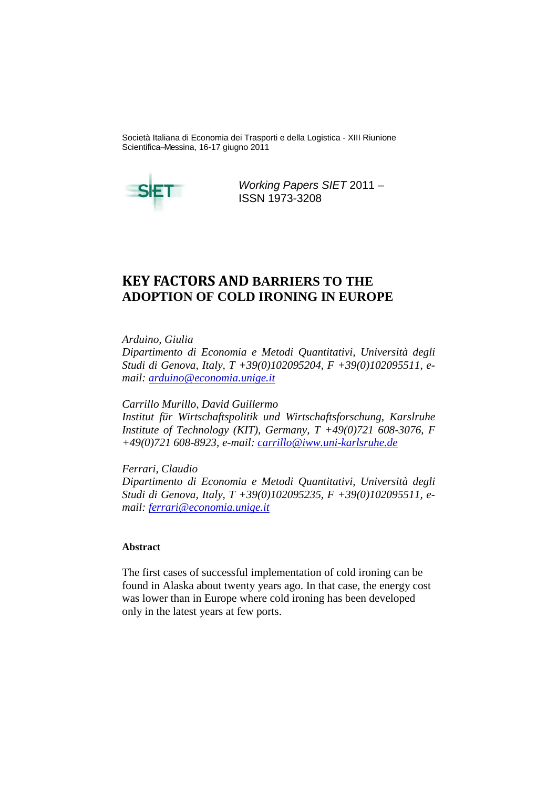Società Italiana di Economia dei Trasporti e della Logistica - XIII Riunione Scientifica –Messina, 16-17 giugno 2011



Working Papers SIET 2011 – ISSN 1973-3208

# **KEY FACTORS AND BARRIERS TO THE ADOPTION OF COLD IRONING IN EUROPE**

*Arduino, Giulia* 

*Dipartimento di Economia e Metodi Quantitativi, Università degli Studi di Genova, Italy, T +39(0)102095204, F +39(0)102095511, email: arduino@economia.unige.it*

*Carrillo Murillo, David Guillermo* 

*Institut für Wirtschaftspolitik und Wirtschaftsforschung, Karslruhe Institute of Technology (KIT), Germany, T +49(0)721 608-3076, F +49(0)721 608-8923, e-mail: carrillo@iww.uni-karlsruhe.de*

*Ferrari, Claudio Dipartimento di Economia e Metodi Quantitativi, Università degli Studi di Genova, Italy, T +39(0)102095235, F +39(0)102095511, email: ferrari@economia.unige.it*

# **Abstract**

The first cases of successful implementation of cold ironing can be found in Alaska about twenty years ago. In that case, the energy cost was lower than in Europe where cold ironing has been developed only in the latest years at few ports.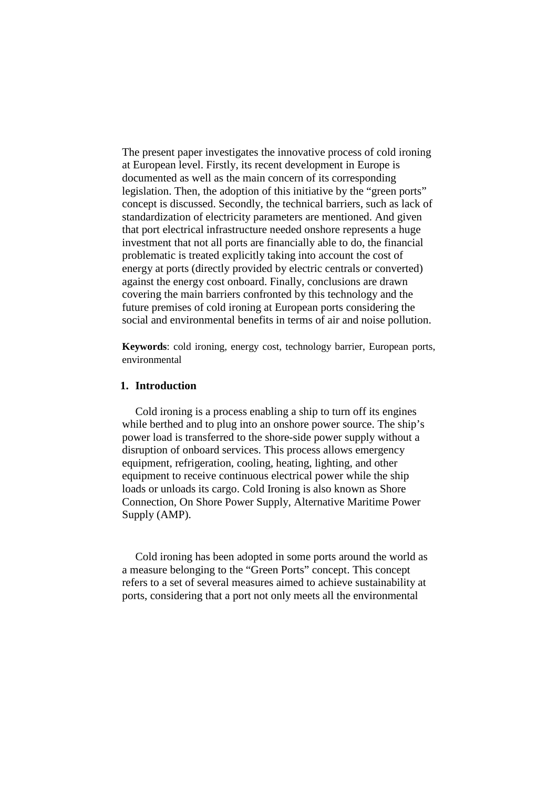The present paper investigates the innovative process of cold ironing at European level. Firstly, its recent development in Europe is documented as well as the main concern of its corresponding legislation. Then, the adoption of this initiative by the "green ports" concept is discussed. Secondly, the technical barriers, such as lack of standardization of electricity parameters are mentioned. And given that port electrical infrastructure needed onshore represents a huge investment that not all ports are financially able to do, the financial problematic is treated explicitly taking into account the cost of energy at ports (directly provided by electric centrals or converted) against the energy cost onboard. Finally, conclusions are drawn covering the main barriers confronted by this technology and the future premises of cold ironing at European ports considering the social and environmental benefits in terms of air and noise pollution.

**Keywords**: cold ironing, energy cost, technology barrier, European ports, environmental

## **1. Introduction**

Cold ironing is a process enabling a ship to turn off its engines while berthed and to plug into an onshore power source. The ship's power load is transferred to the shore-side power supply without a disruption of onboard services. This process allows emergency equipment, refrigeration, cooling, heating, lighting, and other equipment to receive continuous electrical power while the ship loads or unloads its cargo. Cold Ironing is also known as Shore Connection, On Shore Power Supply, Alternative Maritime Power Supply (AMP).

Cold ironing has been adopted in some ports around the world as a measure belonging to the "Green Ports" concept. This concept refers to a set of several measures aimed to achieve sustainability at ports, considering that a port not only meets all the environmental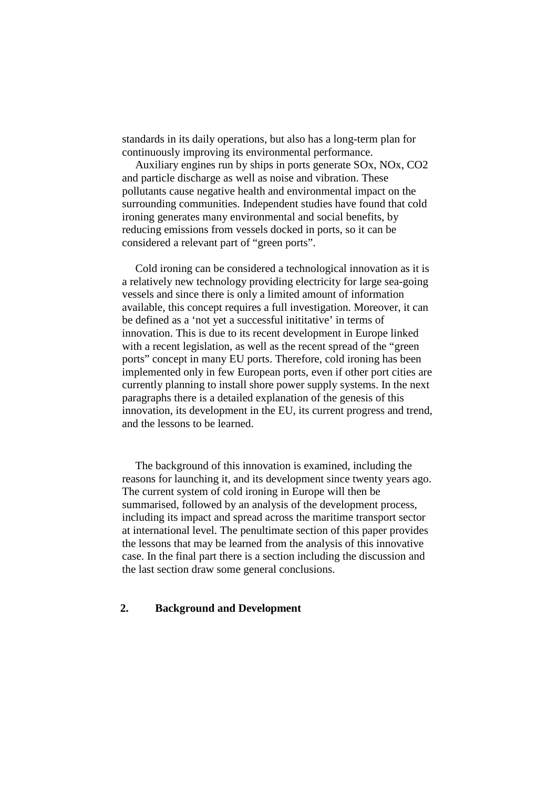standards in its daily operations, but also has a long-term plan for continuously improving its environmental performance.

Auxiliary engines run by ships in ports generate SOx, NOx, CO2 and particle discharge as well as noise and vibration. These pollutants cause negative health and environmental impact on the surrounding communities. Independent studies have found that cold ironing generates many environmental and social benefits, by reducing emissions from vessels docked in ports, so it can be considered a relevant part of "green ports".

Cold ironing can be considered a technological innovation as it is a relatively new technology providing electricity for large sea-going vessels and since there is only a limited amount of information available, this concept requires a full investigation. Moreover, it can be defined as a 'not yet a successful inititative' in terms of innovation. This is due to its recent development in Europe linked with a recent legislation, as well as the recent spread of the "green ports" concept in many EU ports. Therefore, cold ironing has been implemented only in few European ports, even if other port cities are currently planning to install shore power supply systems. In the next paragraphs there is a detailed explanation of the genesis of this innovation, its development in the EU, its current progress and trend, and the lessons to be learned.

The background of this innovation is examined, including the reasons for launching it, and its development since twenty years ago. The current system of cold ironing in Europe will then be summarised, followed by an analysis of the development process, including its impact and spread across the maritime transport sector at international level. The penultimate section of this paper provides the lessons that may be learned from the analysis of this innovative case. In the final part there is a section including the discussion and the last section draw some general conclusions.

## **2. Background and Development**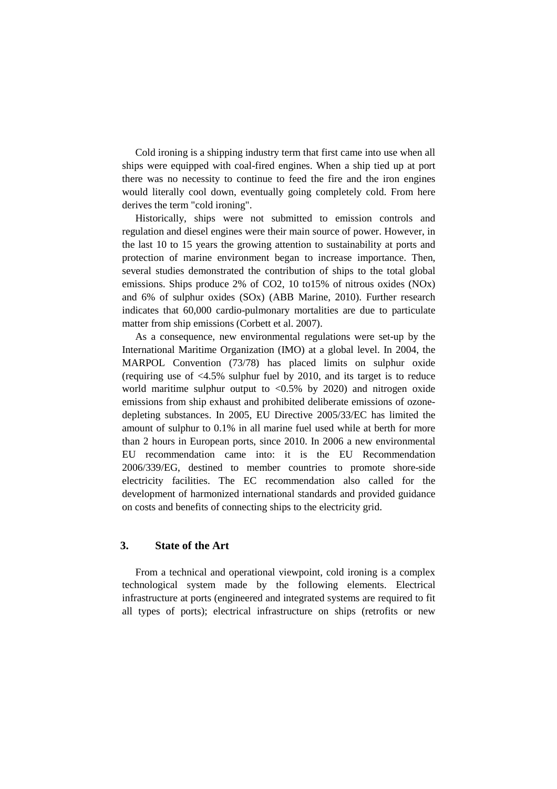Cold ironing is a shipping industry term that first came into use when all ships were equipped with coal-fired engines. When a ship tied up at port there was no necessity to continue to feed the fire and the iron engines would literally cool down, eventually going completely cold. From here derives the term "cold ironing".

Historically, ships were not submitted to emission controls and regulation and diesel engines were their main source of power. However, in the last 10 to 15 years the growing attention to sustainability at ports and protection of marine environment began to increase importance. Then, several studies demonstrated the contribution of ships to the total global emissions. Ships produce 2% of CO2, 10 to15% of nitrous oxides (NOx) and 6% of sulphur oxides (SOx) (ABB Marine, 2010). Further research indicates that 60,000 cardio-pulmonary mortalities are due to particulate matter from ship emissions (Corbett et al. 2007).

As a consequence, new environmental regulations were set-up by the International Maritime Organization (IMO) at a global level. In 2004, the MARPOL Convention (73/78) has placed limits on sulphur oxide (requiring use of  $\langle 4.5\%$  sulphur fuel by 2010, and its target is to reduce world maritime sulphur output to  $\langle 0.5\%$  by 2020) and nitrogen oxide emissions from ship exhaust and prohibited deliberate emissions of ozonedepleting substances. In 2005, EU Directive 2005/33/EC has limited the amount of sulphur to 0.1% in all marine fuel used while at berth for more than 2 hours in European ports, since 2010. In 2006 a new environmental EU recommendation came into: it is the EU Recommendation 2006/339/EG, destined to member countries to promote shore-side electricity facilities. The EC recommendation also called for the development of harmonized international standards and provided guidance on costs and benefits of connecting ships to the electricity grid.

## **3. State of the Art**

From a technical and operational viewpoint, cold ironing is a complex technological system made by the following elements. Electrical infrastructure at ports (engineered and integrated systems are required to fit all types of ports); electrical infrastructure on ships (retrofits or new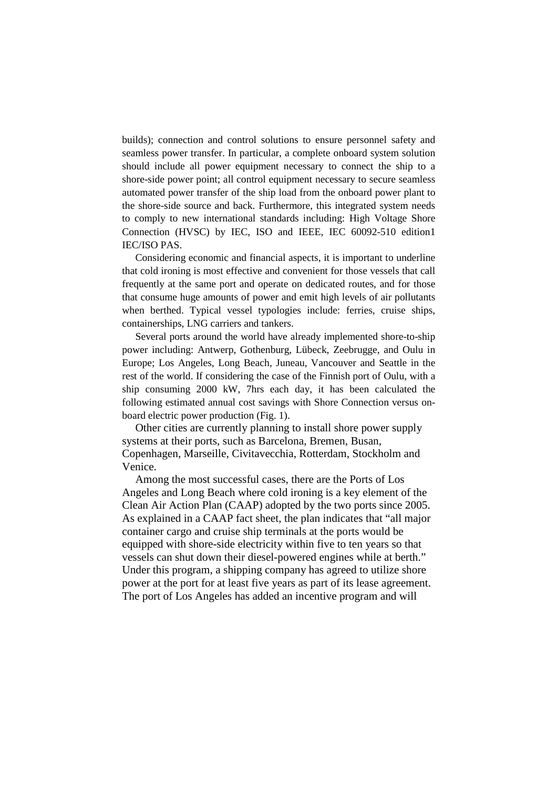builds); connection and control solutions to ensure personnel safety and seamless power transfer. In particular, a complete onboard system solution should include all power equipment necessary to connect the ship to a shore-side power point; all control equipment necessary to secure seamless automated power transfer of the ship load from the onboard power plant to the shore-side source and back. Furthermore, this integrated system needs to comply to new international standards including: High Voltage Shore Connection (HVSC) by IEC, ISO and IEEE, IEC 60092-510 edition1 IEC/ISO PAS.

Considering economic and financial aspects, it is important to underline that cold ironing is most effective and convenient for those vessels that call frequently at the same port and operate on dedicated routes, and for those that consume huge amounts of power and emit high levels of air pollutants when berthed. Typical vessel typologies include: ferries, cruise ships, containerships, LNG carriers and tankers.

Several ports around the world have already implemented shore-to-ship power including: Antwerp, Gothenburg, Lübeck, Zeebrugge, and Oulu in Europe; Los Angeles, Long Beach, Juneau, Vancouver and Seattle in the rest of the world. If considering the case of the Finnish port of Oulu, with a ship consuming 2000 kW, 7hrs each day, it has been calculated the following estimated annual cost savings with Shore Connection versus onboard electric power production (Fig. 1).

Other cities are currently planning to install shore power supply systems at their ports, such as Barcelona, Bremen, Busan, Copenhagen, Marseille, Civitavecchia, Rotterdam, Stockholm and Venice.

Among the most successful cases, there are the Ports of Los Angeles and Long Beach where cold ironing is a key element of the Clean Air Action Plan (CAAP) adopted by the two ports since 2005. As explained in a CAAP fact sheet, the plan indicates that "all major container cargo and cruise ship terminals at the ports would be equipped with shore-side electricity within five to ten years so that vessels can shut down their diesel-powered engines while at berth." Under this program, a shipping company has agreed to utilize shore power at the port for at least five years as part of its lease agreement. The port of Los Angeles has added an incentive program and will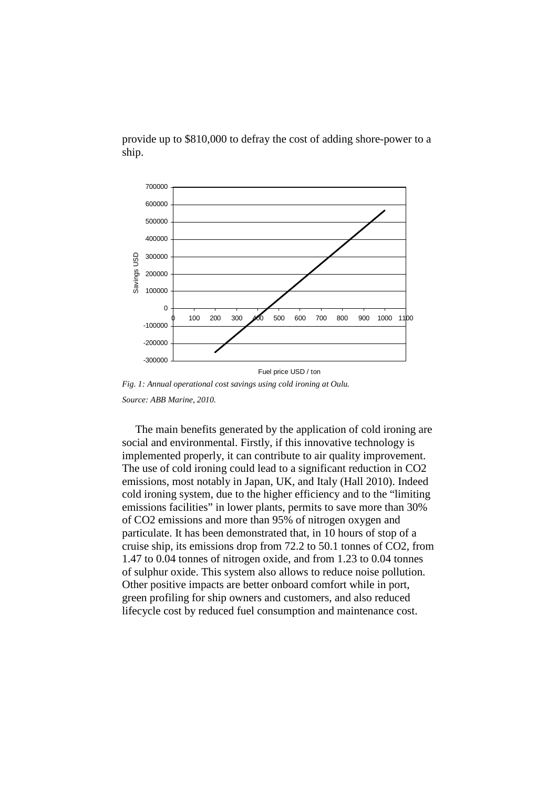provide up to \$810,000 to defray the cost of adding shore-power to a ship.



*Fig. 1: Annual operational cost savings using cold ironing at Oulu. Source: ABB Marine, 2010.* 

The main benefits generated by the application of cold ironing are social and environmental. Firstly, if this innovative technology is implemented properly, it can contribute to air quality improvement. The use of cold ironing could lead to a significant reduction in CO2 emissions, most notably in Japan, UK, and Italy (Hall 2010). Indeed cold ironing system, due to the higher efficiency and to the "limiting emissions facilities" in lower plants, permits to save more than 30% of CO2 emissions and more than 95% of nitrogen oxygen and particulate. It has been demonstrated that, in 10 hours of stop of a cruise ship, its emissions drop from 72.2 to 50.1 tonnes of CO2, from 1.47 to 0.04 tonnes of nitrogen oxide, and from 1.23 to 0.04 tonnes of sulphur oxide. This system also allows to reduce noise pollution. Other positive impacts are better onboard comfort while in port, green profiling for ship owners and customers, and also reduced lifecycle cost by reduced fuel consumption and maintenance cost.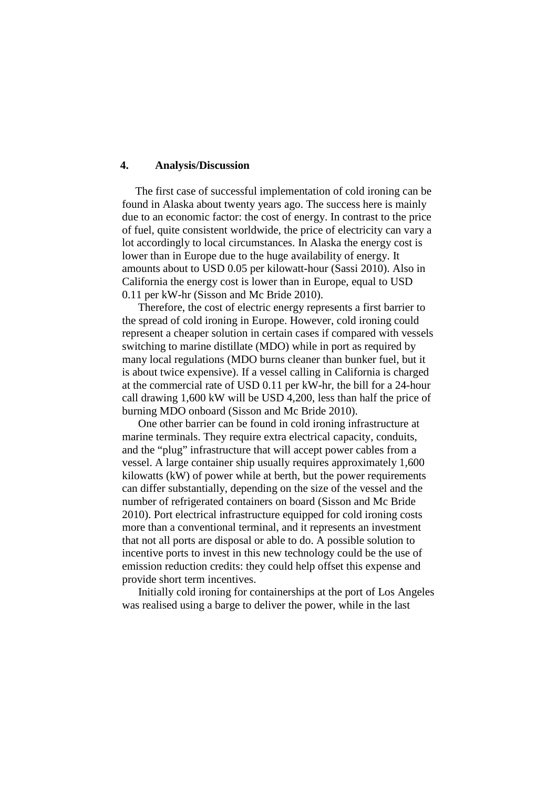## **4. Analysis/Discussion**

The first case of successful implementation of cold ironing can be found in Alaska about twenty years ago. The success here is mainly due to an economic factor: the cost of energy. In contrast to the price of fuel, quite consistent worldwide, the price of electricity can vary a lot accordingly to local circumstances. In Alaska the energy cost is lower than in Europe due to the huge availability of energy. It amounts about to USD 0.05 per kilowatt-hour (Sassi 2010). Also in California the energy cost is lower than in Europe, equal to USD 0.11 per kW-hr (Sisson and Mc Bride 2010).

 Therefore, the cost of electric energy represents a first barrier to the spread of cold ironing in Europe. However, cold ironing could represent a cheaper solution in certain cases if compared with vessels switching to marine distillate (MDO) while in port as required by many local regulations (MDO burns cleaner than bunker fuel, but it is about twice expensive). If a vessel calling in California is charged at the commercial rate of USD 0.11 per kW-hr, the bill for a 24-hour call drawing 1,600 kW will be USD 4,200, less than half the price of burning MDO onboard (Sisson and Mc Bride 2010).

 One other barrier can be found in cold ironing infrastructure at marine terminals. They require extra electrical capacity, conduits, and the "plug" infrastructure that will accept power cables from a vessel. A large container ship usually requires approximately 1,600 kilowatts (kW) of power while at berth, but the power requirements can differ substantially, depending on the size of the vessel and the number of refrigerated containers on board (Sisson and Mc Bride 2010). Port electrical infrastructure equipped for cold ironing costs more than a conventional terminal, and it represents an investment that not all ports are disposal or able to do. A possible solution to incentive ports to invest in this new technology could be the use of emission reduction credits: they could help offset this expense and provide short term incentives.

 Initially cold ironing for containerships at the port of Los Angeles was realised using a barge to deliver the power, while in the last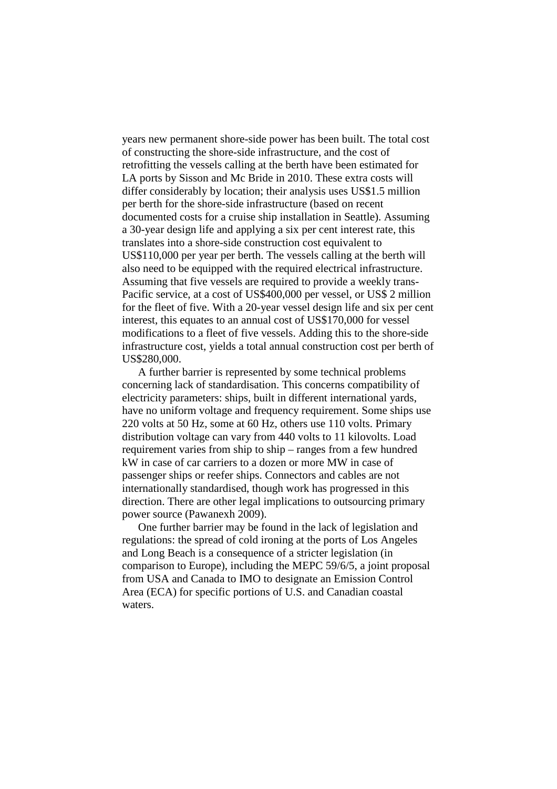years new permanent shore-side power has been built. The total cost of constructing the shore-side infrastructure, and the cost of retrofitting the vessels calling at the berth have been estimated for LA ports by Sisson and Mc Bride in 2010. These extra costs will differ considerably by location; their analysis uses US\$1.5 million per berth for the shore-side infrastructure (based on recent documented costs for a cruise ship installation in Seattle). Assuming a 30-year design life and applying a six per cent interest rate, this translates into a shore-side construction cost equivalent to US\$110,000 per year per berth. The vessels calling at the berth will also need to be equipped with the required electrical infrastructure. Assuming that five vessels are required to provide a weekly trans-Pacific service, at a cost of US\$400,000 per vessel, or US\$ 2 million for the fleet of five. With a 20-year vessel design life and six per cent interest, this equates to an annual cost of US\$170,000 for vessel modifications to a fleet of five vessels. Adding this to the shore-side infrastructure cost, yields a total annual construction cost per berth of US\$280,000.

 A further barrier is represented by some technical problems concerning lack of standardisation. This concerns compatibility of electricity parameters: ships, built in different international yards, have no uniform voltage and frequency requirement. Some ships use 220 volts at 50 Hz, some at 60 Hz, others use 110 volts. Primary distribution voltage can vary from 440 volts to 11 kilovolts. Load requirement varies from ship to ship – ranges from a few hundred kW in case of car carriers to a dozen or more MW in case of passenger ships or reefer ships. Connectors and cables are not internationally standardised, though work has progressed in this direction. There are other legal implications to outsourcing primary power source (Pawanexh 2009).

 One further barrier may be found in the lack of legislation and regulations: the spread of cold ironing at the ports of Los Angeles and Long Beach is a consequence of a stricter legislation (in comparison to Europe), including the MEPC 59/6/5, a joint proposal from USA and Canada to IMO to designate an Emission Control Area (ECA) for specific portions of U.S. and Canadian coastal waters.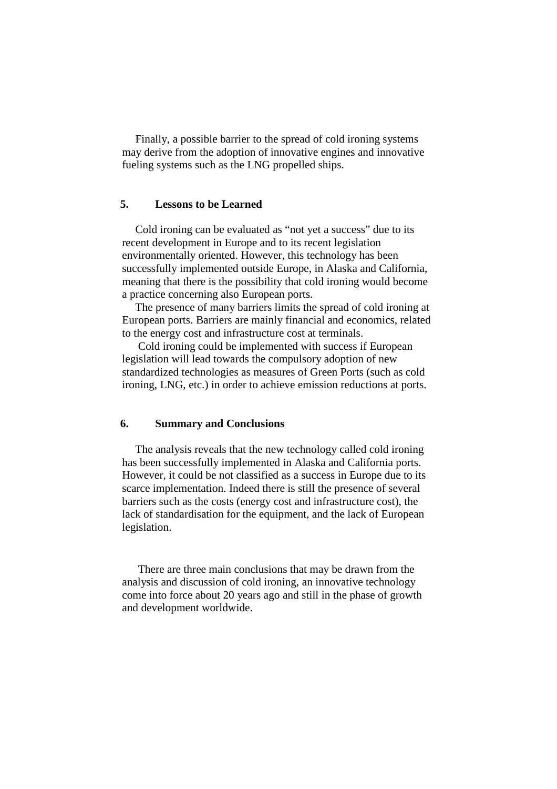Finally, a possible barrier to the spread of cold ironing systems may derive from the adoption of innovative engines and innovative fueling systems such as the LNG propelled ships.

# **5. Lessons to be Learned**

Cold ironing can be evaluated as "not yet a success" due to its recent development in Europe and to its recent legislation environmentally oriented. However, this technology has been successfully implemented outside Europe, in Alaska and California, meaning that there is the possibility that cold ironing would become a practice concerning also European ports.

The presence of many barriers limits the spread of cold ironing at European ports. Barriers are mainly financial and economics, related to the energy cost and infrastructure cost at terminals.

 Cold ironing could be implemented with success if European legislation will lead towards the compulsory adoption of new standardized technologies as measures of Green Ports (such as cold ironing, LNG, etc.) in order to achieve emission reductions at ports.

### **6. Summary and Conclusions**

The analysis reveals that the new technology called cold ironing has been successfully implemented in Alaska and California ports. However, it could be not classified as a success in Europe due to its scarce implementation. Indeed there is still the presence of several barriers such as the costs (energy cost and infrastructure cost), the lack of standardisation for the equipment, and the lack of European legislation.

 There are three main conclusions that may be drawn from the analysis and discussion of cold ironing, an innovative technology come into force about 20 years ago and still in the phase of growth and development worldwide.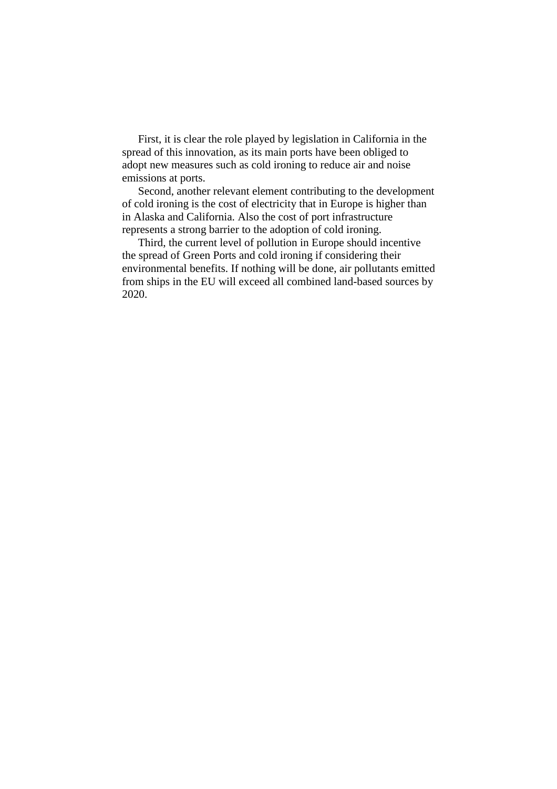First, it is clear the role played by legislation in California in the spread of this innovation, as its main ports have been obliged to adopt new measures such as cold ironing to reduce air and noise emissions at ports.

 Second, another relevant element contributing to the development of cold ironing is the cost of electricity that in Europe is higher than in Alaska and California. Also the cost of port infrastructure represents a strong barrier to the adoption of cold ironing.

 Third, the current level of pollution in Europe should incentive the spread of Green Ports and cold ironing if considering their environmental benefits. If nothing will be done, air pollutants emitted from ships in the EU will exceed all combined land-based sources by 2020.